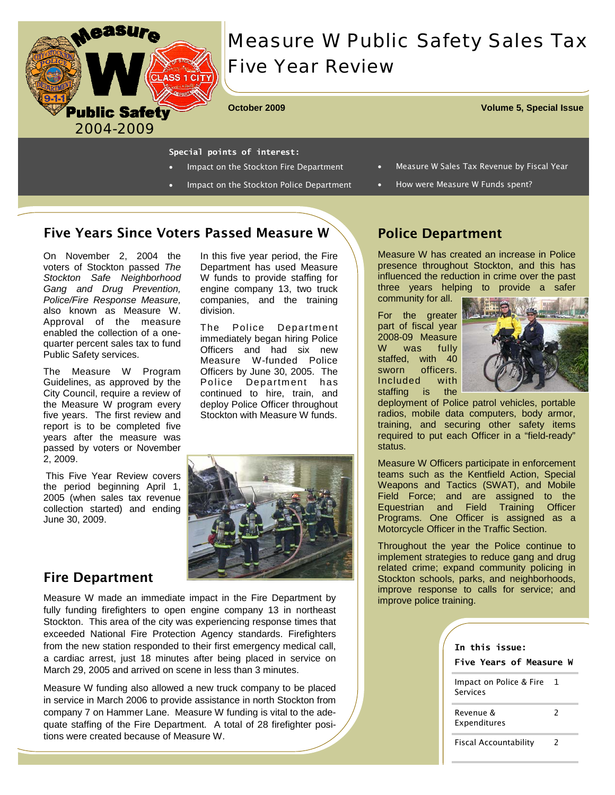

# *Measure W Public Safety Sales Tax Five Year Review*

**October 2009 Volume 5, Special Issue** 

#### **Special points of interest:**

- Impact on the Stockton Fire Department
- Impact on the Stockton Police Department
- Measure W Sales Tax Revenue by Fiscal Year
- How were Measure W Funds spent?

# Five Years Since Voters Passed Measure W

On November 2, 2004 the voters of Stockton passed *The Stockton Safe Neighborhood Gang and Drug Prevention, Police/Fire Response Measure,*  also known as Measure W. Approval of the measure enabled the collection of a onequarter percent sales tax to fund Public Safety services.

The Measure W Program Guidelines, as approved by the City Council, require a review of the Measure W program every five years. The first review and report is to be completed five years after the measure was passed by voters or November 2, 2009.

This Five Year Review covers the period beginning April 1, 2005 (when sales tax revenue collection started) and ending June 30, 2009.

In this five year period, the Fire Department has used Measure W funds to provide staffing for engine company 13, two truck companies, and the training division.

The Police Department immediately began hiring Police Officers and had six new Measure W-funded Police Officers by June 30, 2005. The Police Department has continued to hire, train, and deploy Police Officer throughout Stockton with Measure W funds.



## Fire Department

Measure W made an immediate impact in the Fire Department by fully funding firefighters to open engine company 13 in northeast Stockton. This area of the city was experiencing response times that exceeded National Fire Protection Agency standards. Firefighters from the new station responded to their first emergency medical call, a cardiac arrest, just 18 minutes after being placed in service on March 29, 2005 and arrived on scene in less than 3 minutes.

Measure W funding also allowed a new truck company to be placed in service in March 2006 to provide assistance in north Stockton from company 7 on Hammer Lane. Measure W funding is vital to the adequate staffing of the Fire Department. A total of 28 firefighter positions were created because of Measure W.

### Police Department

Measure W has created an increase in Police presence throughout Stockton, and this has influenced the reduction in crime over the past three years helping to provide a safer community for all.

For the greater part of fiscal year 2008-09 Measure W was fully staffed, with 40 sworn officers. Included with staffing is the



deployment of Police patrol vehicles, portable radios, mobile data computers, body armor, training, and securing other safety items required to put each Officer in a "field-ready" status.

Measure W Officers participate in enforcement teams such as the Kentfield Action, Special Weapons and Tactics (SWAT), and Mobile Field Force; and are assigned to the Equestrian and Field Training Officer Programs. One Officer is assigned as a Motorcycle Officer in the Traffic Section.

Throughout the year the Police continue to implement strategies to reduce gang and drug related crime; expand community policing in Stockton schools, parks, and neighborhoods, improve response to calls for service; and improve police training.

|  | In this issue:<br><b>Five Years of Measure W</b> |                |
|--|--------------------------------------------------|----------------|
|  | Impact on Police & Fire<br>Services              | $\overline{1}$ |
|  | Revenue &<br>Expenditures                        | 2              |
|  | Fiscal Accountability                            |                |